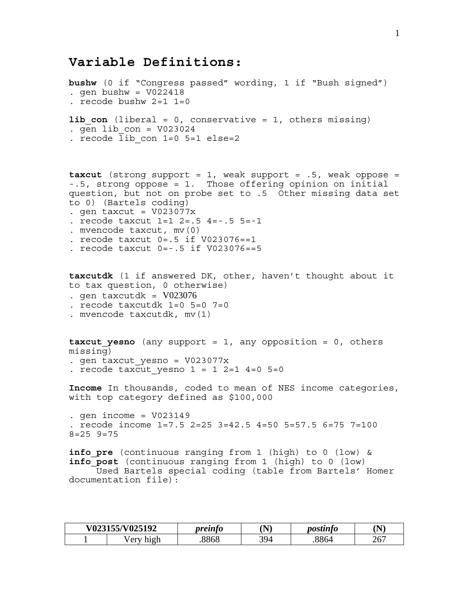# **Variable Definitions:**

```
bushw (0 if "Congress passed" wording, 1 if "Bush signed") 
. gen bushw = V022418. recode bushw 2=1 1=0 
lib con (liberal = 0, conservative = 1, others missing)
. gen lib con = V023024. recode lib_con 1=0 5=1 else=2 
taxcut (strong support = 1, weak support = .5, weak oppose = 
-.5, strong oppose = 1. Those offering opinion on initial 
question, but not on probe set to .5 Other missing data set 
to 0) (Bartels coding) 
. gen taxcut = V023077x. recode taxcut 1=1 2=.5 4=-.5 5=-1 
. mvencode taxcut, mv(0) 
. recode taxcut 0=.5 if V023076==1 
. recode taxcut 0=-.5 if V023076==5 
taxcutdk (1 if answered DK, other, haven't thought about it 
to tax question, 0 otherwise) 
. gen taxcutdk = V023076. recode taxcutdk 1=0 5=0 7=0 
. mvencode taxcutdk, mv(1) 
taxcut_yesno (any support = 1, any opposition = 0, others 
missing) 
. gen taxcut_yesno = V023077x 
. recode taxcut yesno 1 = 1 2=1 4=0 5=0
Income In thousands, coded to mean of NES income categories, 
with top category defined as $100,000 
. gen income = V023149 
. recode income 1=7.5 2=25 3=42.5 4=50 5=57.5 6=75 7=100 
8=25 9=75 
info_pre (continuous ranging from 1 (high) to 0 (low) & 
info_post (continuous ranging from 1 (high) to 0 (low) 
      Used Bartels special coding (table from Bartels' Homer 
documentation file):
```

| V023155/V025192       | <i><b>oreinto</b></i> | `N`<br><b>.</b> | postinto | 'N)              |
|-----------------------|-----------------------|-----------------|----------|------------------|
| high<br>$\sqrt{e}$ rv | 8868                  | 394             | 8864     | $\bigcap$<br>20, |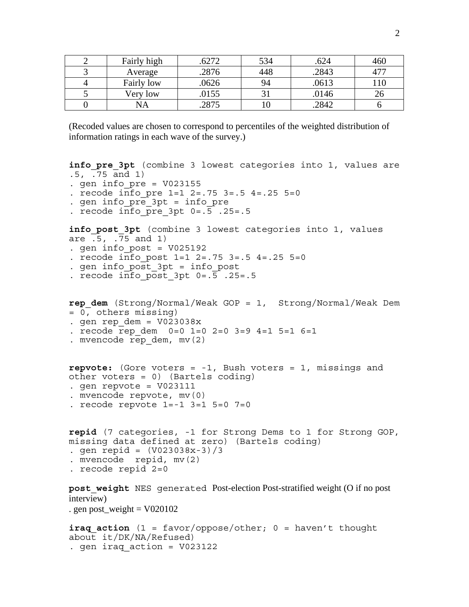| Fairly high | 6272  | 534 | .624  | 460       |
|-------------|-------|-----|-------|-----------|
| Average     | .2876 | 448 | .2843 |           |
| Fairly low  | .0626 | 94  | .0613 | <b>10</b> |
| Very low    | .0155 |     | .0146 |           |
| NА          | 2875  |     | 2842  |           |

(Recoded values are chosen to correspond to percentiles of the weighted distribution of information ratings in each wave of the survey.)

```
info pre 3pt (combine 3 lowest categories into 1, values are
.5, .75 and 1) 
. gen info pre = V023155. recode info pre 1=1 2=.75 3=.5 4=.25 5=0. gen info_pre_3pt = info_pre 
. recode info pre 3pt 0=.5 .25=.5
info post 3pt (combine 3 lowest categories into 1, values
are .5, .75 and 1)
. gen info post = V025192. recode info post 1=1 2=.75 3=.5 4=.25 5=0. gen info_post_3pt = info_post 
. recode info post 3pt 0=.5 .25=.5
rep_dem (Strong/Normal/Weak GOP = 1, Strong/Normal/Weak Dem 
= 0, others missing) 
. gen rep dem = V023038x. recode rep dem 0=0 1=0 2=0 3=9 4=1 5=1 6=1
. mvencode rep_dem, mv(2) 
repvote: (Gore voters = -1, Bush voters = 1, missings and 
other voters = 0) (Bartels coding) 
. gen repvote = V023111. mvencode repvote, mv(0) 
. recode repvote 1=-1 3=1 5=0 7=0 
repid (7 categories, -1 for Strong Dems to 1 for Strong GOP, 
missing data defined at zero) (Bartels coding) 
. gen repid = (V023038x-3)/3. mvencode repid, mv(2) 
. recode repid 2=0 
post_weight NES generated Post-election Post-stratified weight (O if no post 
interview) 
. gen post_weight = V020102iraq action (1 = favor/oppose/other; 0 = haven't thought
about it/DK/NA/Refused) 
. gen iraq action = V023122
```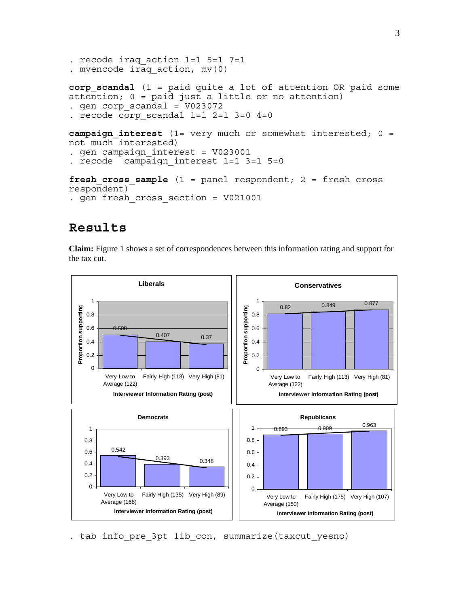```
. recode iraq_action 1=1 5=1 7=1 
. mvencode iraq_action, mv(0) 
corp scandal (1 = paid quite a lot of attention OR paid some
attention; 0 = paid just a little or no attention) 
. gen corp_scandal = V023072 
. recode corp scandal 1=1 2=1 3=0 4=0campaign_interest (1= very much or somewhat interested; 0 = 
not much interested) 
. gen campaign_interest = V023001 
. recode campaign interest 1=1 3=1 5=0
fresh cross sample (1 = panel respondent; 2 = fresh cross
respondent) 
. gen fresh_cross_section = V021001
```
# **Results**

**Claim:** Figure 1 shows a set of correspondences between this information rating and support for the tax cut.



. tab info pre 3pt lib con, summarize(taxcut yesno)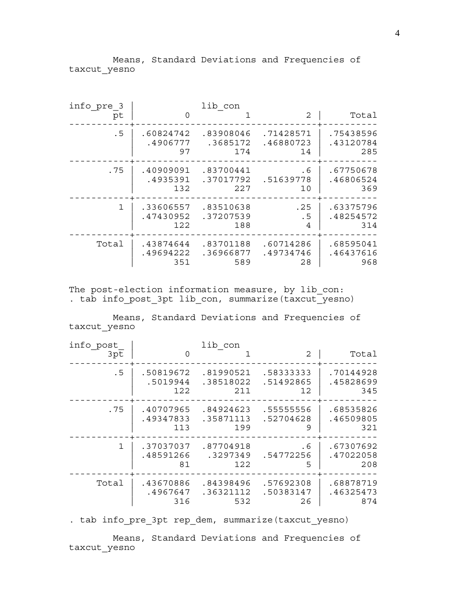Means, Standard Deviations and Frequencies of taxcut\_yesno

| info pre 3   |           | lib con   |           |           |
|--------------|-----------|-----------|-----------|-----------|
| pt           | $\Omega$  |           | 2         | Total     |
| .5           | .60824742 | .83908046 | .71428571 | .75438596 |
|              | .4906777  | .3685172  | .46880723 | .43120784 |
|              | 97        | 174       | 14        | 285       |
| .75          | .40909091 | .83700441 | . 6       | .67750678 |
|              | .4935391  | .37017792 | .51639778 | .46806524 |
|              | 132       | 227       | 10        | 369       |
| $\mathbf{1}$ | .33606557 | .83510638 | .25       | .63375796 |
|              | .47430952 | .37207539 | .5        | .48254572 |
|              | 122       | 188       | 4         | 314       |
| Total        | .43874644 | .83701188 | .60714286 | .68595041 |
|              | .49694222 | .36966877 | .49734746 | .46437616 |
|              | 351       | 589       | 28        | 968       |

The post-election information measure, by lib\_con: . tab info post 3pt lib con, summarize(taxcut yesno)

 Means, Standard Deviations and Frequencies of taxcut\_yesno

| info post    |           | lib con   |           |           |
|--------------|-----------|-----------|-----------|-----------|
| 3pt          | $\Omega$  |           | 2         | Total     |
| .5           | .50819672 | .81990521 | .58333333 | .70144928 |
|              | .5019944  | .38518022 | .51492865 | .45828699 |
|              | 122.      | 211       | 12        | 345       |
| .75          | .40707965 | .84924623 | .55555556 | .68535826 |
|              | .49347833 | .35871113 | .52704628 | .46509805 |
|              | 113       | 199       | 9         | 321       |
| $\mathbf{1}$ | .37037037 | .87704918 | . 6       | .67307692 |
|              | .48591266 | .3297349  | .54772256 | .47022058 |
|              | 81        | 122       | 5         | 208       |
| Total        | .43670886 | .84398496 | .57692308 | .68878719 |
|              | .4967647  | .36321112 | .50383147 | .46325473 |
|              | 316       | 532       | 26        | 874       |

. tab info\_pre\_3pt rep\_dem, summarize(taxcut\_yesno)

 Means, Standard Deviations and Frequencies of taxcut\_yesno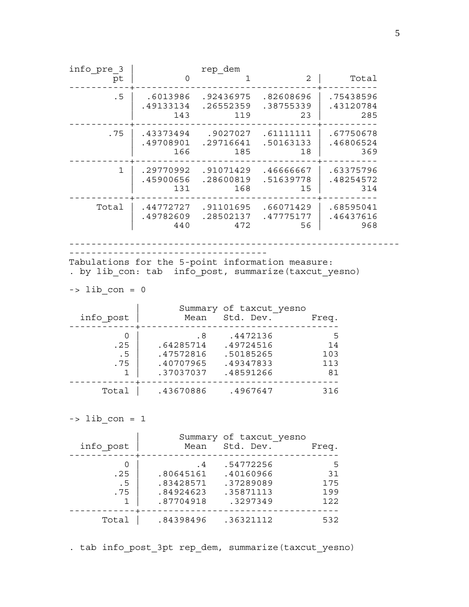info\_pre\_3 | rep\_dem pt | 0 1 2 | Total -----------+---------------------------------+---------- .5 | .6013986 .92436975 .82608696 | .75438596 | .49133134 .26552359 .38755339 | .43120784 | 143 119 23 | 285 -----------+---------------------------------+---------- .75 | .43373494 .9027027 .61111111 | .67750678 | .49708901 .29716641 .50163133 | .46806524 | 166 185 18 | 369 -----------+---------------------------------+---------- 1 | .29770992 .91071429 .46666667 | .63375796 | .45900656 .28600819 .51639778 | .48254572 | 131 168 15 | 314 -----------+---------------------------------+---------- Total | .44772727 .91101695 .66071429 | .68595041 | .49782609 .28502137 .47775177 | .46437616 | 440 472 56 | 968 ------------------------------------------------------------ ------------------------------------ Tabulations for the 5-point information measure: . by lib con: tab info post, summarize(taxcut yesno)  $\Rightarrow$  lib  $\text{con} = 0$ Summary of taxcut yesno info\_post | Mean Std. Dev. Freq. ------------+------------------------------------  $0 \parallel$  .8 .4472136 5 .25 | .64285714 .49724516 14 .5 | .47572816 .50185265 103 .75 | .40707965 .49347833 113 1 | .37037037 .48591266 81 ------------+------------------------------------ Total | .43670886 .4967647 316  $\Rightarrow$  lib con = 1 | Summary of taxcut\_yesno info\_post | Mean Std. Dev. Freq. ------------+------------------------------------  $0$  | .4 .54772256 5 .25 | .80645161 .40160966 31 .5 | .83428571 .37289089 175 .75 | .84924623 .35871113 199 1 | .87704918 .3297349 122 ------------+------------------------------------ Total | .84398496 .36321112 532

. tab info post 3pt rep dem, summarize(taxcut yesno)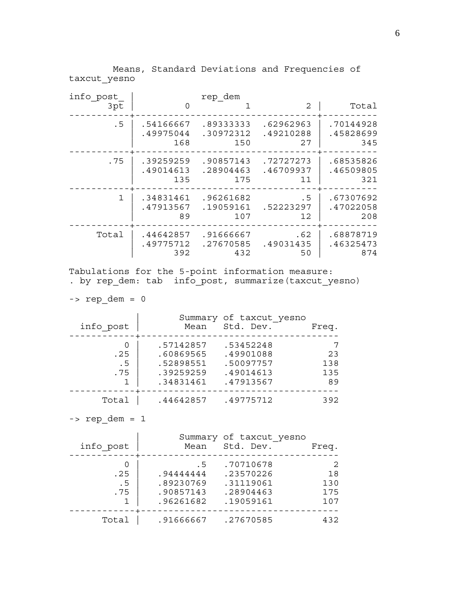Means, Standard Deviations and Frequencies of taxcut\_yesno

| info post    |           | rep_dem   |           |           |
|--------------|-----------|-----------|-----------|-----------|
| 3pt          | $\Omega$  |           | 2         | Total     |
| .5           | .54166667 | .89333333 | .62962963 | .70144928 |
|              | .49975044 | .30972312 | .49210288 | .45828699 |
|              | 168       | 150       | 27        | 345       |
| .75          | .39259259 | .90857143 | .72727273 | .68535826 |
|              | .49014613 | .28904463 | .46709937 | .46509805 |
|              | 135       | 175       | 11        | 321       |
| $\mathbf{1}$ | .34831461 | .96261682 | . 5       | .67307692 |
|              | .47913567 | .19059161 | .52223297 | .47022058 |
|              | 89        | 107       | 12        | 208       |
| Total        | .44642857 | .91666667 | .62       | .68878719 |
|              | .49775712 | .27670585 | .49031435 | .46325473 |
|              | 392       | 432       | 50        | 874       |

Tabulations for the 5-point information measure: . by rep dem: tab info post, summarize(taxcut yesno)

-> rep\_dem = 0

| info post              | Mean                                                          | Summary of taxcut yesno<br>Std. Dev.                          | Freq.                  |
|------------------------|---------------------------------------------------------------|---------------------------------------------------------------|------------------------|
| O<br>.25<br>. 5<br>.75 | .57142857<br>.60869565<br>.52898551<br>.39259259<br>.34831461 | .53452248<br>.49901088<br>.50097757<br>.49014613<br>.47913567 | 23<br>138<br>135<br>89 |
| Total                  | .44642857                                                     | .49775712                                                     | 392                    |

 $\text{-}$   $\text{rep\_dem} = 1$ 

| info post         | Mean                                                    | Summary of taxcut yesno<br>Std. Dev.                          | Freq.                         |
|-------------------|---------------------------------------------------------|---------------------------------------------------------------|-------------------------------|
| .25<br>. 5<br>.75 | . 5<br>.94444444<br>.89230769<br>.90857143<br>.96261682 | .70710678<br>.23570226<br>.31119061<br>.28904463<br>.19059161 | -2<br>18<br>130<br>175<br>107 |
| Total             | .91666667                                               | .27670585                                                     | 432                           |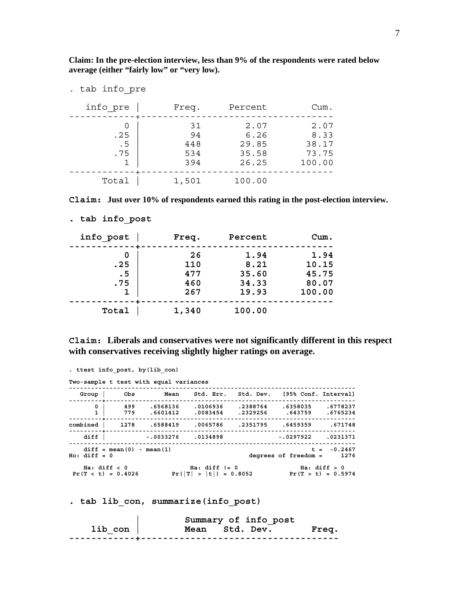**Claim: In the pre-election interview, less than 9% of the respondents were rated below average (either "fairly low" or "very low).** 

| . tab info pre    |                               |                                         |                                          |
|-------------------|-------------------------------|-----------------------------------------|------------------------------------------|
| info pre          | Freq.                         | Percent                                 | Cum.                                     |
| .25<br>. 5<br>.75 | 31<br>94<br>448<br>534<br>394 | 2.07<br>6.26<br>29.85<br>35.58<br>26.25 | 2.07<br>8.33<br>38.17<br>73.75<br>100.00 |
| Total             | 1,501                         | 100.00                                  |                                          |

**Claim: Just over 10% of respondents earned this rating in the post-election interview.** 

| info post         | Freq.                          | Percent                                 | Cum.                                      |
|-------------------|--------------------------------|-----------------------------------------|-------------------------------------------|
| .25<br>. 5<br>.75 | 26<br>110<br>477<br>460<br>267 | 1.94<br>8.21<br>35.60<br>34.33<br>19.93 | 1.94<br>10.15<br>45.75<br>80.07<br>100.00 |
| Total             | 1,340                          | 100.00                                  |                                           |

**. tab info\_post** 

**Claim: Liberals and conservatives were not significantly different in this respect with conservatives receiving slightly higher ratings on average.** 

| . ttest info post, by (lib con) |                                      |                                        |                                                |  |                                                               |
|---------------------------------|--------------------------------------|----------------------------------------|------------------------------------------------|--|---------------------------------------------------------------|
|                                 |                                      | Two-sample t test with equal variances |                                                |  |                                                               |
| Group                           | Obs                                  |                                        |                                                |  | Mean Std. Err. Std. Dev. [95% Conf. Interval]                 |
| 0                               |                                      |                                        | 499 .6568136 .0106936<br>779 .6601412 .0083454 |  | .2388764 .6358035 .6778237<br>.2329256 .643759<br>.6765234    |
|                                 |                                      |                                        |                                                |  | 671748. combined   1278 .6588419 .0065786 .2351795 .6459359   |
| diff                            |                                      | $-.0033276$ $.0134898$                 |                                                |  | $-.0297922$ .0231371                                          |
| $Ho: diff = 0$                  | $diff = mean(0) - mean(1)$           |                                        |                                                |  | $t = -0.2467$<br>degrees of freedom =<br>1276                 |
|                                 | Ha: diff < 0<br>$Pr(T < t) = 0.4026$ |                                        | $Ha: diff I = 0$                               |  | Ha: diff > 0<br>$Pr( T  >  t ) = 0.8052$ $Pr(T > t) = 0.5974$ |

**. tab lib\_con, summarize(info\_post)** 

|         | Summary of info post |       |
|---------|----------------------|-------|
| lib con | Mean Std. Dev.       | Freq. |
|         |                      |       |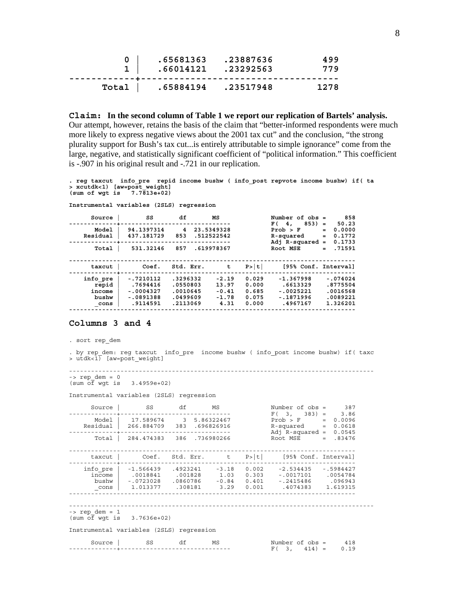| .65681363.23887636<br>$1 \mid .66014121 .23292563$ | 499<br>779 |
|----------------------------------------------------|------------|
| Total   .65884194 .23517948                        | 1278       |

**Claim: In the second column of Table 1 we report our replication of Bartels' analysis.** Our attempt, however, retains the basis of the claim that "better-informed respondents were much more likely to express negative views about the 2001 tax cut" and the conclusion, "the strong plurality support for Bush's tax cut...is entirely attributable to simple ignorance" come from the large, negative, and statistically significant coefficient of "political information." This coefficient is -.907 in his original result and -.721 in our replication.

**. reg taxcut info\_pre repid income bushw ( info\_post repvote income bushw) if( ta > xcutdk<1) [aw=post\_weight] (sum of wgt is 7.7813e+02)** 

| Source                                       | SS                                                                | df                                                       | МS                                             |                                           | Number of $obs =$<br>$853) =$<br>F(4,                             | 858<br>50.23                                               |
|----------------------------------------------|-------------------------------------------------------------------|----------------------------------------------------------|------------------------------------------------|-------------------------------------------|-------------------------------------------------------------------|------------------------------------------------------------|
| Model<br>Residual                            | 94.1397314<br>437.181729                                          | 4<br>853                                                 | 23.5349328<br>.512522542                       |                                           | Prob > F<br>R-squared<br>Adj $R$ -squared =                       | 0.0000<br>$=$<br>0.1772<br>$=$<br>0.1733                   |
| Total                                        | 531.32146                                                         | 857                                                      | .619978367                                     |                                           | Root MSE                                                          | .71591<br>$=$                                              |
| taxcut                                       | Coef.                                                             | Std. Err.                                                | t                                              | P >  t                                    | [95% Conf. Interval]                                              |                                                            |
| info pre<br>repid<br>income<br>bushw<br>cons | $-.7210112$<br>.7694416<br>$-.0004327$<br>$-.0891388$<br>.9114591 | .3296332<br>.0550803<br>.0010645<br>.0499609<br>.2113069 | $-2.19$<br>13.97<br>$-0.41$<br>$-1.78$<br>4.31 | 0.029<br>0.000<br>0.685<br>0.075<br>0.000 | $-1.367998$<br>.6613329<br>$-.0025221$<br>$-.1871996$<br>.4967167 | $-.074024$<br>.8775504<br>.0016568<br>.0089221<br>1.326201 |

### **Columns 3 and 4**

. sort rep\_dem

. by rep dem: reg taxcut info pre income bushw ( info post income bushw) if( taxc  $>$  utdk<1) [aw=post weight]

----------------------------------------------------------------------------------- -> rep\_dem = 0 (sum of wgt is 3.4959e+02)

Instrumental variables (2SLS) regression

**Instrumental variables (2SLS) regression** 

| Source                                                    | SS                                                                     | df | MS | Number of $obs = 387$<br>$F(3, 383) = 3.86$                                                                                                                                                                                                            |             |  |
|-----------------------------------------------------------|------------------------------------------------------------------------|----|----|--------------------------------------------------------------------------------------------------------------------------------------------------------------------------------------------------------------------------------------------------------|-------------|--|
|                                                           | Model   17.589674 3 5.86322467<br>Residual   266.884709 383 .696826916 |    |    | $Prob > F$ = 0.0096<br>$R$ -squared = $0.0618$<br>Adj R-squared = $0.0545$                                                                                                                                                                             |             |  |
| Total                                                     | 284.474383 386 .736980266                                              |    |    | $Root MSE = .83476$                                                                                                                                                                                                                                    |             |  |
| taxcut                                                    |                                                                        |    |    | Coef. Std. Err. $t$ P> t  [95% Conf. Interval]                                                                                                                                                                                                         |             |  |
| income<br>cons                                            | info pre $ -1.566439$ .4923241 -3.18                                   |    |    | $0.002$ $-2.534435$ $-.5984427$<br>$\begin{array}{cccccccc} \mid & .0018841 & .001828 & 1.03 & 0.303 & -.0017101 & .0054784 \end{array}$<br>096943. bushw   -.0723028 .0860786 -0.84 0.401 -.2415486<br>$1.013377$ $.308181$ $3.29$ $0.001$ $.4074383$ | 1.619315    |  |
| $\rightarrow$ rep dem = 1<br>$(sum of wqt is 3.7636e+02)$ |                                                                        |    |    |                                                                                                                                                                                                                                                        |             |  |
| Instrumental variables (2SLS) regression                  |                                                                        |    |    |                                                                                                                                                                                                                                                        |             |  |
| Source                                                    | SS                                                                     | df | MS | Number of obs =<br>$F(3, 414) =$                                                                                                                                                                                                                       | 418<br>0.19 |  |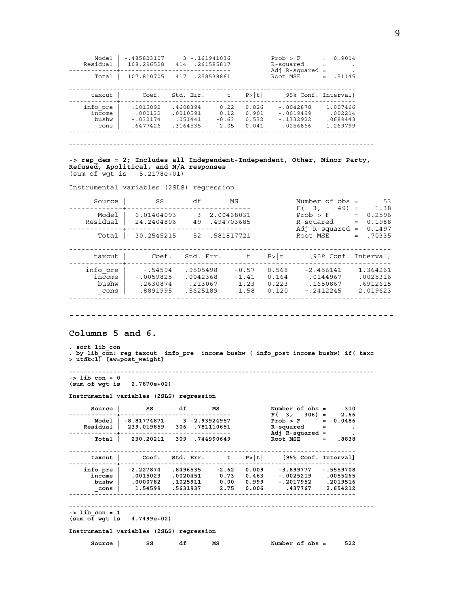| Model<br>Residual                   | $-1485823107$<br>108.296528                  | $3 - 161941036$<br>414                      | .261585817                      |                                  | Prob > F<br>R-squared<br>$Adj$ R-squared =          | 0.9014<br>$=$                               |
|-------------------------------------|----------------------------------------------|---------------------------------------------|---------------------------------|----------------------------------|-----------------------------------------------------|---------------------------------------------|
| Total                               | 107.810705                                   | 417                                         | .258538861                      |                                  | Root MSE                                            | .51145                                      |
| taxcut                              | Coef.                                        | Std. Err.                                   | $\mathsf{t}$                    | P >  t                           | [95% Conf. Interval]                                |                                             |
| info pre<br>income<br>bushw<br>cons | .1015892<br>.000132<br>$-032174$<br>.6477426 | .4608394<br>.0010591<br>.051441<br>.3164535 | 0.22<br>0.12<br>$-0.63$<br>2.05 | 0.826<br>0.901<br>0.532<br>0.041 | $-.8042878$<br>$-0019499$<br>$-1332922$<br>.0256866 | 1.007466<br>.002214<br>.0689443<br>1.269799 |

-----------------------------------------------------------------------------------

#### **-> rep\_dem = 2; Includes all Independent-Independent, Other, Minor Party, Refused, Apolitical, and N/A responses**  (sum of wgt is 5.2178e+01)

Instrumental variables (2SLS) regression

| Source                              | SS                                                | df                                          | MS                                 |                                  | Number of $obs =$<br>$49) =$<br>F(3)                    | 53<br>1.38                                   |
|-------------------------------------|---------------------------------------------------|---------------------------------------------|------------------------------------|----------------------------------|---------------------------------------------------------|----------------------------------------------|
| Model<br>Residual                   | 6.01404093<br>24.2404806                          | 3<br>49                                     | 2.00468031<br>.494703685           |                                  | Prob > F<br>R-squared<br>Adj $R$ -squared =             | 0.2596<br>$=$<br>0.1988<br>$=$<br>0.1497     |
| Total                               | 30.2545215                                        | 52 .581817721                               |                                    |                                  | Root MSE                                                | .70335<br>$=$                                |
| taxcut                              | Coef.                                             | Std. Err.                                   | $-t$                               | P >  t                           | [95% Conf. Interval]                                    |                                              |
| info pre<br>income<br>bushw<br>cons | $-0.54594$<br>$-.0059825$<br>.2630874<br>.8891995 | .9505498<br>.0042368<br>.213067<br>.5625189 | $-0.57$<br>$-1.41$<br>1.23<br>1.58 | 0.568<br>0.164<br>0.223<br>0.120 | $-2.456141$<br>$-.0144967$<br>$-1650867$<br>$-.2412245$ | 1.364261<br>.0025316<br>.6912615<br>2.019623 |

**-----------------------------------------------------------** 

**Columns 5 and 6.** 

**. sort lib\_con .** by lib\_con: reg taxcut info\_pre income bushw ( info\_post income bushw) if( taxc <br>> utdk<1) [aw=post\_weight]

**-----------------------------------------------------------------------------------** 

**-> lib\_con = 0 (sum of wgt is 2.7870e+02)** 

**Instrumental variables (2SLS) regression** 

| Source                                                    | SS df | <b>MS</b>            |    | Number of $obs = 310$                                                                                                                                                                                                               |     |
|-----------------------------------------------------------|-------|----------------------|----|-------------------------------------------------------------------------------------------------------------------------------------------------------------------------------------------------------------------------------------|-----|
|                                                           |       | -------------------- |    | $F(3, 306) = 2.66$<br>Model   $-8.81774871$ 3 $-2.93924957$ Prob > F = 0.0486<br>Residual 239.019859 306 781110651 R-squared = .<br>Adj R-squared = Theory                                                                          |     |
|                                                           |       |                      |    | Total   $230.20211$ $309$ $.744990649$ Root MSE = $.8838$                                                                                                                                                                           |     |
| taxcut                                                    |       |                      |    | Coef. Std. Err. $t$ P> $ t $ [95% Conf. Interval]                                                                                                                                                                                   |     |
| $\_cons$                                                  |       |                      |    | info_pre   -2.227874 .8496535 -2.62 0.009 -3.899777 -.5559708<br>income $ $ .0015023 .0020451 0.73 0.463 -.0025219 .0055265<br>2019516. 1025911 0.00 0.999 0.2017952 .2019516 bushw<br>1.54599 .5631937 2.75 0.006 .437767 2.654212 |     |
| $\rightarrow$ lib con = 1<br>$(sum of wqt is 4.7499e+02)$ |       |                      |    |                                                                                                                                                                                                                                     |     |
| Instrumental variables (2SLS) regression                  |       |                      |    |                                                                                                                                                                                                                                     |     |
| Source                                                    | SS S  | df                   | MS | Number of obs =                                                                                                                                                                                                                     | 522 |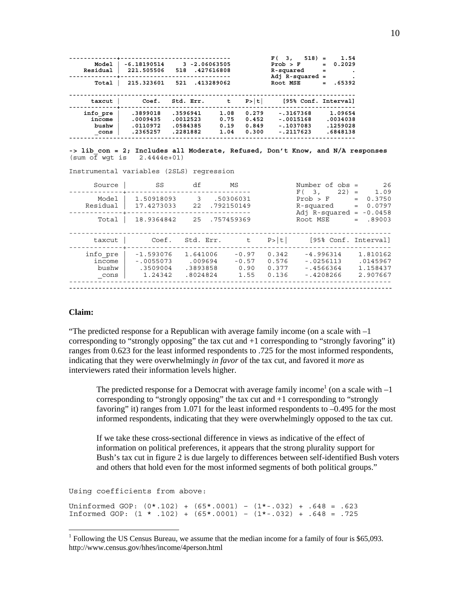| Model<br>Residual<br>Total          | $-6.18190514$<br>221.505506<br>215.323601    | $3 - 2.06063505$<br>518<br>521               | .427616808<br>.413289062     |                                  | $518$ =<br>F(3,<br>Prob > F<br>R-squared<br>Adj $R$ -squared =<br>Root MSE | 1.54<br>0.2029<br>$=$<br>$=$<br>.65392<br>$=$ |
|-------------------------------------|----------------------------------------------|----------------------------------------------|------------------------------|----------------------------------|----------------------------------------------------------------------------|-----------------------------------------------|
| taxcut                              | Coef.                                        | Std. Err.                                    | t                            | P >  t                           | [95% Conf. Interval]                                                       |                                               |
| info pre<br>income<br>bushw<br>cons | .3899018<br>.0009435<br>.0110972<br>.2365257 | .3596941<br>.0012523<br>.0584385<br>.2281882 | 1.08<br>0.75<br>0.19<br>1.04 | 0.279<br>0.452<br>0.849<br>0.300 | $-.3167368$<br>$-.0015168$<br>$-.1037083$<br>$-.2117623$                   | 1.09654<br>.0034038<br>.1259028<br>.6848138   |

**-> lib\_con = 2; Includes all Moderate, Refused, Don't Know, and N/A responses**   $(sum \overline{of} wgt is 2.4444e+01)$ 

Instrumental variables (2SLS) regression

|                                     |                                                   |                                             |                                    | Number of $obs =$<br>F(3)        |                                                          | 26<br>1.09                                   |
|-------------------------------------|---------------------------------------------------|---------------------------------------------|------------------------------------|----------------------------------|----------------------------------------------------------|----------------------------------------------|
| Model<br>Residual                   | 1.50918093<br>17.4273033                          | 3<br>22                                     | .50306031<br>.792150149            |                                  | $22) =$<br>Prob > F<br>R-squared<br>Adj R-squared =      | 0.3750<br>$=$<br>0.0797<br>$=$<br>$-0.0458$  |
| Total                               | 18.9364842                                        | 25                                          | .757459369                         |                                  | Root MSE                                                 | .89003<br>$=$                                |
| taxcut                              | Coef.                                             | Std. Err.                                   | t.                                 | P> t                             | [95% Conf. Interval]                                     |                                              |
| info pre<br>income<br>bushw<br>cons | $-1.593076$<br>$-10055073$<br>.3509004<br>1.24342 | 1.641006<br>.009694<br>.3893858<br>.8024824 | $-0.97$<br>$-0.57$<br>0.90<br>1.55 | 0.342<br>0.576<br>0.377<br>0.136 | $-4.996314$<br>$-0.256113$<br>$-14566364$<br>$-.4208266$ | 1.810162<br>.0145967<br>1.158437<br>2.907667 |

## **Claim:**

 $\overline{a}$ 

"The predicted response for a Republican with average family income (on a scale with  $-1$ ) corresponding to "strongly opposing" the tax cut and +1 corresponding to "strongly favoring" it) ranges from 0.623 for the least informed respondents to .725 for the most informed respondents, indicating that they were overwhelmingly *in favor* of the tax cut, and favored it *more* as interviewers rated their information levels higher.

The predicted response for a Democrat with average family income<sup>1</sup> (on a scale with  $-1$ ) corresponding to "strongly opposing" the tax cut and +1 corresponding to "strongly favoring" it) ranges from 1.071 for the least informed respondents to –0.495 for the most informed respondents, indicating that they were overwhelmingly opposed to the tax cut.

If we take these cross-sectional difference in views as indicative of the effect of information on political preferences, it appears that the strong plurality support for Bush's tax cut in figure 2 is due largely to differences between self-identified Bush voters and others that hold even for the most informed segments of both political groups."

Using coefficients from above:

Uninformed GOP: (0\*.102) + (65\*.0001) – (1\*-.032) + .648 = .623 Informed GOP: (1 \* .102) + (65\*.0001) – (1\*-.032) + .648 = .725

<sup>&</sup>lt;sup>1</sup> Following the US Census Bureau, we assume that the median income for a family of four is \$65,093. http://www.census.gov/hhes/income/4person.html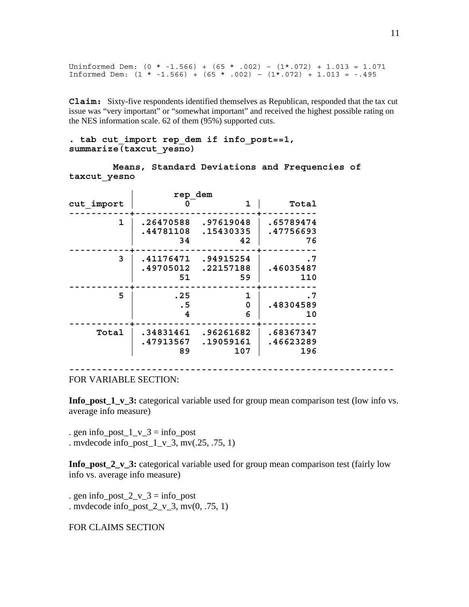Uninformed Dem:  $(0 * -1.566) + (65 * .002) - (1 * .072) + 1.013 = 1.071$ Informed Dem:  $(1 * -1.566) + (65 * .002) - (1 * .072) + 1.013 = -.495$ 

**Claim:** Sixty-five respondents identified themselves as Republican, responded that the tax cut issue was "very important" or "somewhat important" and received the highest possible rating on the NES information scale. 62 of them (95%) supported cuts.

**. tab cut\_import rep\_dem if info\_post==1, summarize(taxcut\_yesno)** 

 **Means, Standard Deviations and Frequencies of taxcut\_yesno** 

|            | rep dem         |           |                        |
|------------|-----------------|-----------|------------------------|
| cut import |                 | 1         | Total                  |
| 1          | .26470588       | .97619048 | .65789474              |
|            | .44781108       | .15430335 | .47756693              |
|            | 34              | 42        | 76                     |
| 3          | .41176471       | .94915254 | . 7                    |
|            | .49705012       | .22157188 | .46035487              |
|            | 51              | 59        | 110                    |
| 5          | .25<br>. 5<br>4 | 0<br>6    | . 7<br>.48304589<br>10 |
| Total      | .34831461       | .96261682 | .68367347              |
|            | .47913567       | .19059161 | .46623289              |
|            | 89              | 107       | 196                    |

FOR VARIABLE SECTION:

**Info\_post\_1\_v\_3:** categorical variable used for group mean comparison test (low info vs. average info measure)

**-----------------------------------------------------------** 

. gen info\_post\_ $1_v_3 =$  info\_post . mvdecode info\_post\_ $1_v_3$ , mv(.25, .75, 1)

**Info\_post\_2\_v\_3:** categorical variable used for group mean comparison test (fairly low info vs. average info measure)

. gen info\_post\_ $2_v_3 =$  info\_post . mvdecode info\_post\_ $2_v$ \_v\_3, mv(0, .75, 1)

FOR CLAIMS SECTION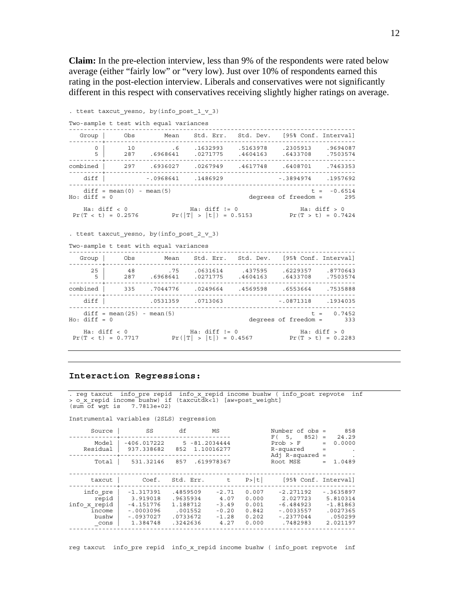**Claim:** In the pre-election interview, less than 9% of the respondents were rated below average (either "fairly low" or "very low). Just over 10% of respondents earned this rating in the post-election interview. Liberals and conservatives were not significantly different in this respect with conservatives receiving slightly higher ratings on average.

```
. ttest taxcut yesno, by(info post 1 v 3)
Two-sample t test with equal variances 
------------------------------------------------------------------------------ 
 Group | Obs Mean Std. Err. Std. Dev. [95% Conf. Interval] 
---------+-------------------------------------------------------------------- 
 0 | 10 .6 .1632993 .5163978 .2305913 .9694087 
 5 | 287 .6968641 .0271775 .4604163 .6433708 .7503574 
   ---------+-------------------------------------------------------------------- 
combined | 297 .6936027 .0267949 .4617748 .6408701 .7463353 
---------+-------------------------------------------------------------------- 
    diff | -.0968641 .1486929 -.3894974 .1957692 
------------------------------------------------------------------------------ 
diff = mean(0) - mean(5) t = -0.6514
Ho: diff = 0 degrees of freedom = 295 
 Ha: diff < 0 Ha: diff != 0 Ha: diff > 0 
Pr(T < t) = 0.2576 Pr(|T| > |t|) = 0.5153 Pr(T > t) = 0.7424
. ttest taxcut_yesno, by(info_post_2_v_3) 
Two-sample t test with equal variances 
   ------------------------------------------------------------------------------ 
 Group | Obs Mean Std. Err. Std. Dev. [95% Conf. Interval] 
---------+-------------------------------------------------------------------- 
 25 | 48 .75 .0631614 .437595 .6229357 .8770643 
 5 | 287 .6968641 .0271775 .4604163 .6433708 .7503574 
---------+-------------------------------------------------------------------- 
combined | 335 .7044776 .0249664 .4569598 .6553664 .7535888 
          ---------+-------------------------------------------------------------------- 
 diff | .0531359 .0713063 -.0871318 .1934035 
           ------------------------------------------------------------------------------ 
diff = mean(25) - mean(5) t = 0.7452<br>Ho: diff = 0 t = 0.7452degrees of freedom =
Ha: diff < 0 Ha: diff != 0 Ha: diff > 0<br>
Pr(T < t) = 0.7717 Pr(|T| > |t|) = 0.4567 Pr(T > t) = 0.2283
```
### **Interaction Regressions:**

. reg taxcut info\_pre repid info\_x\_repid income bushw ( info\_post repvote inf > o\_x\_repid income bushw) if (taxcutdk<1) [aw=post\_weight] (sum of wgt is 7.7813e+02)

Instrumental variables (2SLS) regression

| Source                                                       | SS                                                                               | df                                                                  | ΜS                                                       |                                                    | Number of $obs =$<br>$F(5, 852) =$                                               | 858<br>24.29                                                              |
|--------------------------------------------------------------|----------------------------------------------------------------------------------|---------------------------------------------------------------------|----------------------------------------------------------|----------------------------------------------------|----------------------------------------------------------------------------------|---------------------------------------------------------------------------|
| Model<br>Residual                                            | $-406.017222$<br>937.338682                                                      | $5 - 81.2034444$<br>852                                             | 1.10016277                                               |                                                    | Prob > F<br>R-squared<br>Adj $R$ -squared =                                      | 0.0000<br>$=$<br>$=$                                                      |
| Total                                                        | 531.32146                                                                        | 857                                                                 | .619978367                                               |                                                    | Root MSE                                                                         | 1.0489<br>$=$                                                             |
| taxcut                                                       | Coef.                                                                            | Std. Err.                                                           | t                                                        | P >  t                                             | [95% Conf. Interval]                                                             |                                                                           |
| info pre<br>repid<br>info x repid<br>income<br>bushw<br>cons | $-1.317391$<br>3.919018<br>$-4.151776$<br>$-10003096$<br>$-10937027$<br>1.384748 | .4859509<br>.9635934<br>1.188712<br>.001552<br>.0733672<br>.3242636 | $-2.71$<br>4.07<br>$-3.49$<br>$-0.20$<br>$-1.28$<br>4.27 | 0.007<br>0.000<br>0.001<br>0.842<br>0.202<br>0.000 | $-2.271192$<br>2.027723<br>$-6.484923$<br>$-10033557$<br>$-.2377044$<br>.7482983 | $-0.3635897$<br>5.810314<br>$-1.81863$<br>.0027365<br>.050299<br>2.021197 |

reg taxcut info\_pre repid info\_x\_repid income bushw ( info\_post repvote inf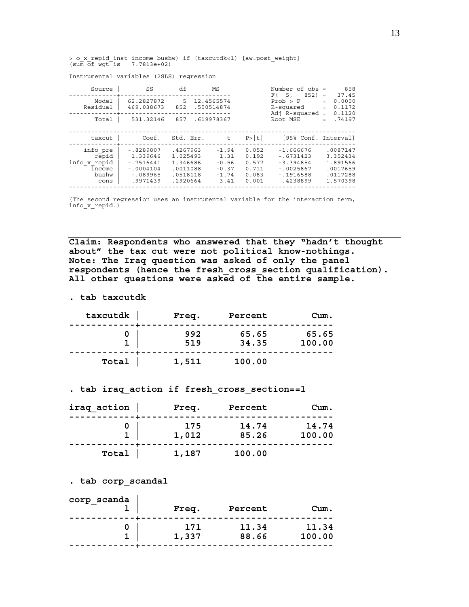> o\_x\_repid\_inst income bushw) if (taxcutdk<1) [aw=post\_weight] (sum of wgt is 7.7813e+02)

Instrumental variables (2SLS) regression

| Source                                                       | SS                                                                             | df                                                                   | ΜS                                                       |                                                    | Number of $obs =$<br>$852$ ) =<br>F(5,                                              | 858<br>37.45                                                         |
|--------------------------------------------------------------|--------------------------------------------------------------------------------|----------------------------------------------------------------------|----------------------------------------------------------|----------------------------------------------------|-------------------------------------------------------------------------------------|----------------------------------------------------------------------|
| Model<br>Residual                                            | 62.2827872<br>469.038673                                                       | 5.<br>852                                                            | 12.4565574<br>.550514874                                 |                                                    | Prob > F<br>R-squared<br>Adj $R$ -squared =                                         | 0.0000<br>$=$<br>0.1172<br>$=$<br>0.1120                             |
| Total                                                        | 531.32146                                                                      | 857                                                                  | .619978367                                               |                                                    | Root MSE                                                                            | .74197<br>$=$                                                        |
| taxcut                                                       | Coef.                                                                          | Std. Err.                                                            | t                                                        | P >  t                                             | [95% Conf. Interval]                                                                |                                                                      |
| info pre<br>repid<br>info x repid<br>income<br>bushw<br>cons | $-18289807$<br>1.339646<br>$-.7516441$<br>$-10004104$<br>$-089965$<br>.9971439 | .4267963<br>1.025493<br>1.346686<br>.0011088<br>.0518118<br>.2920664 | $-1.94$<br>1.31<br>$-0.56$<br>$-0.37$<br>$-1.74$<br>3.41 | 0.052<br>0.192<br>0.577<br>0.711<br>0.083<br>0.001 | $-1.666676$<br>$-0.6731423$<br>$-3.394854$<br>$-10025867$<br>$-1916588$<br>.4238899 | .0087147<br>3.352434<br>1.891566<br>.0017659<br>.0117288<br>1.570398 |

(The second regression uses an instrumental variable for the interaction term, info\_x\_repid.)

**Claim: Respondents who answered that they "hadn't thought about" the tax cut were not political know-nothings. Note: The Iraq question was asked of only the panel respondents (hence the fresh\_cross\_section qualification). All other questions were asked of the entire sample.** 

**. tab taxcutdk** 

| taxcutdk | Freq.      | Percent        | Cum.            |
|----------|------------|----------------|-----------------|
|          | 992<br>519 | 65.65<br>34.35 | 65.65<br>100.00 |
| Total    | 1,511      | 100.00         |                 |

**. tab iraq\_action if fresh\_cross\_section==1** 

| iraq action | Freq.        | Percent        | Cum.            |
|-------------|--------------|----------------|-----------------|
|             | 175<br>1,012 | 14.74<br>85.26 | 14.74<br>100.00 |
| Total       | 1,187        | 100.00         |                 |

**. tab corp\_scandal** 

| 1,337 | 171 | 11.34<br>88.66 | 11.34<br>100.00 |
|-------|-----|----------------|-----------------|